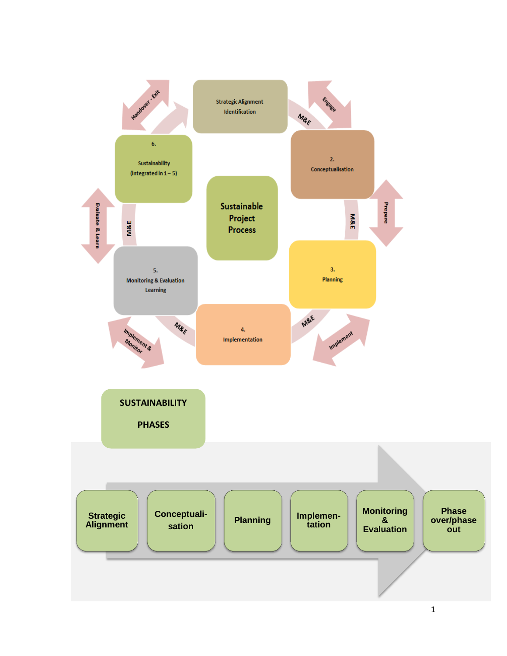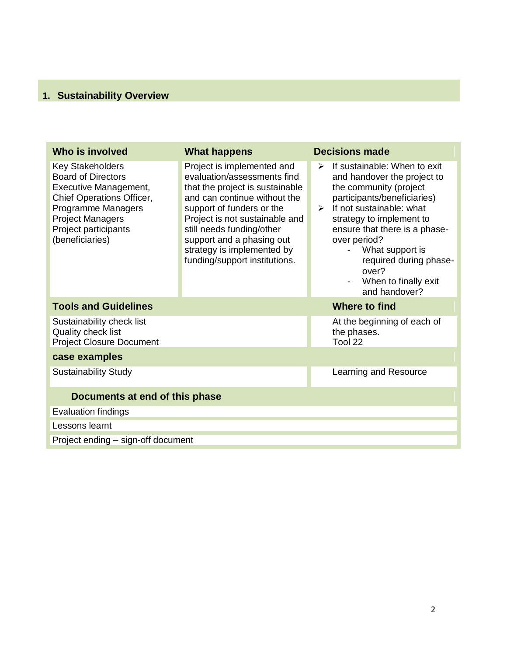#### **1. Sustainability Overview**

| Who is involved                                                                                                                                                                                        | <b>What happens</b>                                                                                                                                                                                                                                                                                                  | <b>Decisions made</b>                                                                                                                                                                                                                                                                                                                                      |
|--------------------------------------------------------------------------------------------------------------------------------------------------------------------------------------------------------|----------------------------------------------------------------------------------------------------------------------------------------------------------------------------------------------------------------------------------------------------------------------------------------------------------------------|------------------------------------------------------------------------------------------------------------------------------------------------------------------------------------------------------------------------------------------------------------------------------------------------------------------------------------------------------------|
| <b>Key Stakeholders</b><br><b>Board of Directors</b><br>Executive Management,<br>Chief Operations Officer,<br>Programme Managers<br><b>Project Managers</b><br>Project participants<br>(beneficiaries) | Project is implemented and<br>evaluation/assessments find<br>that the project is sustainable<br>and can continue without the<br>support of funders or the<br>Project is not sustainable and<br>still needs funding/other<br>support and a phasing out<br>strategy is implemented by<br>funding/support institutions. | If sustainable: When to exit<br>➤<br>and handover the project to<br>the community (project<br>participants/beneficiaries)<br>If not sustainable: what<br>$\blacktriangleright$<br>strategy to implement to<br>ensure that there is a phase-<br>over period?<br>What support is<br>required during phase-<br>over?<br>When to finally exit<br>and handover? |
| <b>Tools and Guidelines</b>                                                                                                                                                                            |                                                                                                                                                                                                                                                                                                                      | <b>Where to find</b>                                                                                                                                                                                                                                                                                                                                       |
| Sustainability check list<br>Quality check list<br><b>Project Closure Document</b>                                                                                                                     |                                                                                                                                                                                                                                                                                                                      | At the beginning of each of<br>the phases.<br>Tool 22                                                                                                                                                                                                                                                                                                      |
| case examples                                                                                                                                                                                          |                                                                                                                                                                                                                                                                                                                      |                                                                                                                                                                                                                                                                                                                                                            |
| <b>Sustainability Study</b>                                                                                                                                                                            |                                                                                                                                                                                                                                                                                                                      | Learning and Resource                                                                                                                                                                                                                                                                                                                                      |
| Documents at end of this phase                                                                                                                                                                         |                                                                                                                                                                                                                                                                                                                      |                                                                                                                                                                                                                                                                                                                                                            |
| Evaluation findings                                                                                                                                                                                    |                                                                                                                                                                                                                                                                                                                      |                                                                                                                                                                                                                                                                                                                                                            |
| Lessons learnt                                                                                                                                                                                         |                                                                                                                                                                                                                                                                                                                      |                                                                                                                                                                                                                                                                                                                                                            |
| Project ending – sign-off document                                                                                                                                                                     |                                                                                                                                                                                                                                                                                                                      |                                                                                                                                                                                                                                                                                                                                                            |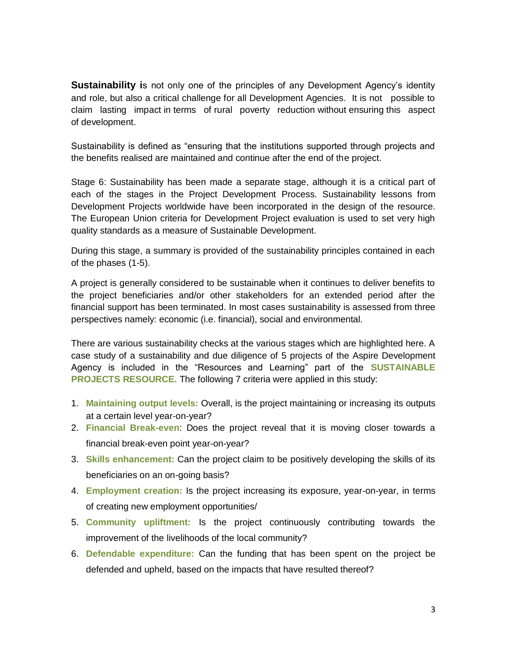**Sustainability is** not only one of the principles of any Development Agency's identity and role, but also a critical challenge for all Development Agencies. It is not possible to claim lasting impact in terms of rural poverty reduction without ensuring this aspect of development.

Sustainability is defined as "ensuring that the institutions supported through projects and the benefits realised are maintained and continue after the end of the project.

Stage 6: Sustainability has been made a separate stage, although it is a critical part of each of the stages in the Project Development Process. Sustainability lessons from Development Projects worldwide have been incorporated in the design of the resource. The European Union criteria for Development Project evaluation is used to set very high quality standards as a measure of Sustainable Development.

During this stage, a summary is provided of the sustainability principles contained in each of the phases (1-5).

A project is generally considered to be sustainable when it continues to deliver benefits to the project beneficiaries and/or other stakeholders for an extended period after the financial support has been terminated. In most cases sustainability is assessed from three perspectives namely: economic (i.e. financial), social and environmental.

There are various sustainability checks at the various stages which are highlighted here. A case study of a sustainability and due diligence of 5 projects of the Aspire Development Agency is included in the "Resources and Learning" part of the **SUSTAINABLE PROJECTS RESOURCE.** The following 7 criteria were applied in this study:

- 1. **Maintaining output levels:** Overall, is the project maintaining or increasing its outputs at a certain level year-on-year?
- 2. **Financial Break-even**: Does the project reveal that it is moving closer towards a financial break-even point year-on-year?
- 3. **Skills enhancement:** Can the project claim to be positively developing the skills of its beneficiaries on an on-going basis?
- 4. **Employment creation:** Is the project increasing its exposure, year-on-year, in terms of creating new employment opportunities/
- 5. **Community upliftment:** Is the project continuously contributing towards the improvement of the livelihoods of the local community?
- 6. **Defendable expenditure:** Can the funding that has been spent on the project be defended and upheld, based on the impacts that have resulted thereof?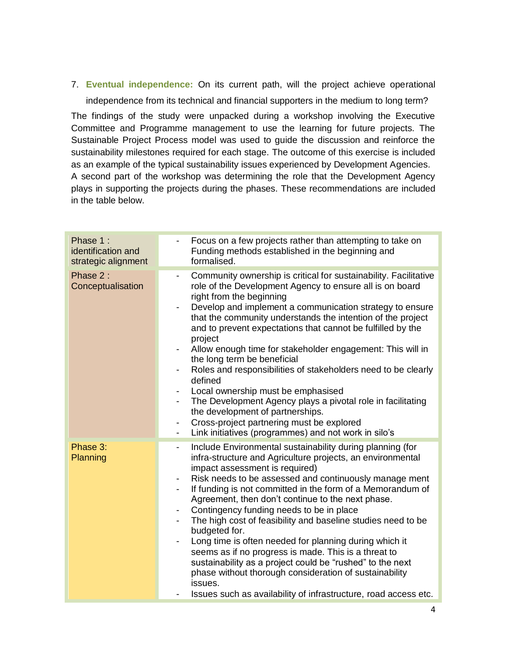7. **Eventual independence:** On its current path, will the project achieve operational independence from its technical and financial supporters in the medium to long term?

The findings of the study were unpacked during a workshop involving the Executive Committee and Programme management to use the learning for future projects. The Sustainable Project Process model was used to guide the discussion and reinforce the sustainability milestones required for each stage. The outcome of this exercise is included as an example of the typical sustainability issues experienced by Development Agencies. A second part of the workshop was determining the role that the Development Agency plays in supporting the projects during the phases. These recommendations are included in the table below.

| Phase 1:<br>identification and<br>strategic alignment | Focus on a few projects rather than attempting to take on<br>Funding methods established in the beginning and<br>formalised.                                                                                                                                                                                                                                                                                                                                                                                                                                                                                                                                                                                                                                                                                                                       |
|-------------------------------------------------------|----------------------------------------------------------------------------------------------------------------------------------------------------------------------------------------------------------------------------------------------------------------------------------------------------------------------------------------------------------------------------------------------------------------------------------------------------------------------------------------------------------------------------------------------------------------------------------------------------------------------------------------------------------------------------------------------------------------------------------------------------------------------------------------------------------------------------------------------------|
| Phase 2:<br>Conceptualisation                         | Community ownership is critical for sustainability. Facilitative<br>$\overline{\phantom{a}}$<br>role of the Development Agency to ensure all is on board<br>right from the beginning<br>Develop and implement a communication strategy to ensure<br>$\blacksquare$<br>that the community understands the intention of the project<br>and to prevent expectations that cannot be fulfilled by the<br>project<br>Allow enough time for stakeholder engagement: This will in<br>the long term be beneficial<br>Roles and responsibilities of stakeholders need to be clearly<br>defined<br>Local ownership must be emphasised<br>The Development Agency plays a pivotal role in facilitating<br>-<br>the development of partnerships.<br>Cross-project partnering must be explored<br>-<br>Link initiatives (programmes) and not work in silo's<br>-  |
| Phase 3:<br>Planning                                  | Include Environmental sustainability during planning (for<br>$\blacksquare$<br>infra-structure and Agriculture projects, an environmental<br>impact assessment is required)<br>Risk needs to be assessed and continuously manage ment<br>If funding is not committed in the form of a Memorandum of<br>$\overline{\phantom{0}}$<br>Agreement, then don't continue to the next phase.<br>Contingency funding needs to be in place<br>-<br>The high cost of feasibility and baseline studies need to be<br>-<br>budgeted for.<br>Long time is often needed for planning during which it<br>seems as if no progress is made. This is a threat to<br>sustainability as a project could be "rushed" to the next<br>phase without thorough consideration of sustainability<br>issues.<br>Issues such as availability of infrastructure, road access etc. |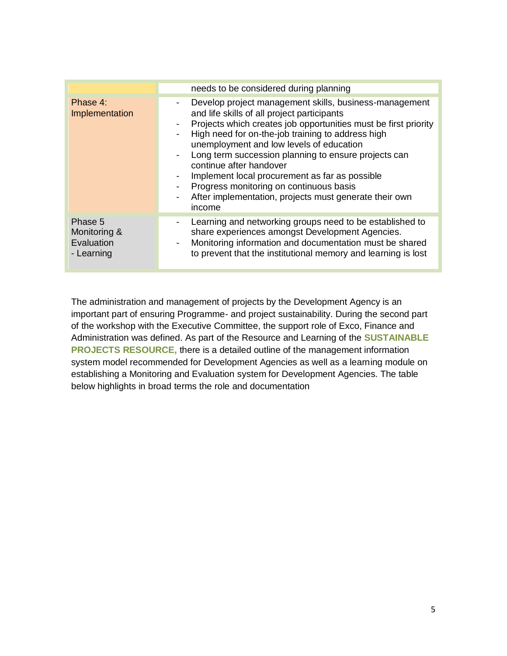|                                                     | needs to be considered during planning                                                                                                                                                                                                                                                                                                                                                                                                                                                                                                                          |
|-----------------------------------------------------|-----------------------------------------------------------------------------------------------------------------------------------------------------------------------------------------------------------------------------------------------------------------------------------------------------------------------------------------------------------------------------------------------------------------------------------------------------------------------------------------------------------------------------------------------------------------|
| Phase 4:<br>Implementation                          | Develop project management skills, business-management<br>۰.<br>and life skills of all project participants<br>Projects which creates job opportunities must be first priority<br>High need for on-the-job training to address high<br>unemployment and low levels of education<br>Long term succession planning to ensure projects can<br>continue after handover<br>Implement local procurement as far as possible<br>Progress monitoring on continuous basis<br>After implementation, projects must generate their own<br>$\overline{\phantom{0}}$<br>income |
| Phase 5<br>Monitoring &<br>Evaluation<br>- Learning | Learning and networking groups need to be established to<br>share experiences amongst Development Agencies.<br>Monitoring information and documentation must be shared<br>$\overline{\phantom{a}}$<br>to prevent that the institutional memory and learning is lost                                                                                                                                                                                                                                                                                             |

The administration and management of projects by the Development Agency is an important part of ensuring Programme- and project sustainability. During the second part of the workshop with the Executive Committee, the support role of Exco, Finance and Administration was defined. As part of the Resource and Learning of the **SUSTAINABLE PROJECTS RESOURCE,** there is a detailed outline of the management information system model recommended for Development Agencies as well as a learning module on establishing a Monitoring and Evaluation system for Development Agencies. The table below highlights in broad terms the role and documentation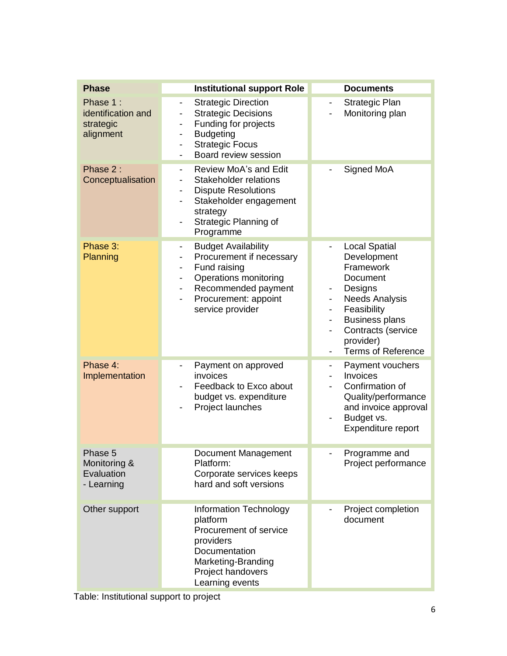| <b>Phase</b>                                             | <b>Institutional support Role</b>                                                                                                                                                                                                                                                                | <b>Documents</b>                                                                                                                                                                                                                                                                                        |
|----------------------------------------------------------|--------------------------------------------------------------------------------------------------------------------------------------------------------------------------------------------------------------------------------------------------------------------------------------------------|---------------------------------------------------------------------------------------------------------------------------------------------------------------------------------------------------------------------------------------------------------------------------------------------------------|
| Phase 1:<br>identification and<br>strategic<br>alignment | <b>Strategic Direction</b><br>$\frac{1}{2}$<br><b>Strategic Decisions</b><br>Funding for projects<br>-<br><b>Budgeting</b><br>-<br><b>Strategic Focus</b><br>-<br>Board review session<br>$\qquad \qquad \blacksquare$                                                                           | Strategic Plan<br>Monitoring plan                                                                                                                                                                                                                                                                       |
| Phase 2:<br>Conceptualisation                            | Review MoA's and Edit<br>$\qquad \qquad \blacksquare$<br>Stakeholder relations<br>-<br><b>Dispute Resolutions</b><br>-<br>Stakeholder engagement<br>-<br>strategy<br>Strategic Planning of<br>$\overline{\phantom{0}}$<br>Programme                                                              | Signed MoA                                                                                                                                                                                                                                                                                              |
| Phase 3:<br>Planning                                     | <b>Budget Availability</b><br>-<br>Procurement if necessary<br>$\overline{\phantom{0}}$<br>Fund raising<br>$\overline{\phantom{0}}$<br>Operations monitoring<br>$\overline{\phantom{0}}$<br>Recommended payment<br>$\qquad \qquad \blacksquare$<br>Procurement: appoint<br>-<br>service provider | <b>Local Spatial</b><br>Development<br>Framework<br>Document<br>Designs<br>۰.<br><b>Needs Analysis</b><br>-<br>Feasibility<br>$\overline{\phantom{0}}$<br><b>Business plans</b><br>$\overline{\phantom{0}}$<br>Contracts (service<br>$\overline{\phantom{0}}$<br>provider)<br><b>Terms of Reference</b> |
| Phase 4:<br>Implementation                               | Payment on approved<br>$\overline{\phantom{0}}$<br>invoices<br>Feedback to Exco about<br>budget vs. expenditure<br>Project launches                                                                                                                                                              | Payment vouchers<br>۰.<br>Invoices<br>$\overline{\phantom{0}}$<br>Confirmation of<br>Quality/performance<br>and invoice approval<br>Budget vs.<br>Expenditure report                                                                                                                                    |
| Phase 5<br>Monitoring &<br>Evaluation<br>- Learning      | Document Management<br>Platform:<br>Corporate services keeps<br>hard and soft versions                                                                                                                                                                                                           | Programme and<br>Project performance                                                                                                                                                                                                                                                                    |
| Other support                                            | Information Technology<br>platform<br>Procurement of service<br>providers<br>Documentation<br>Marketing-Branding<br>Project handovers<br>Learning events                                                                                                                                         | Project completion<br>document                                                                                                                                                                                                                                                                          |

Table: Institutional support to project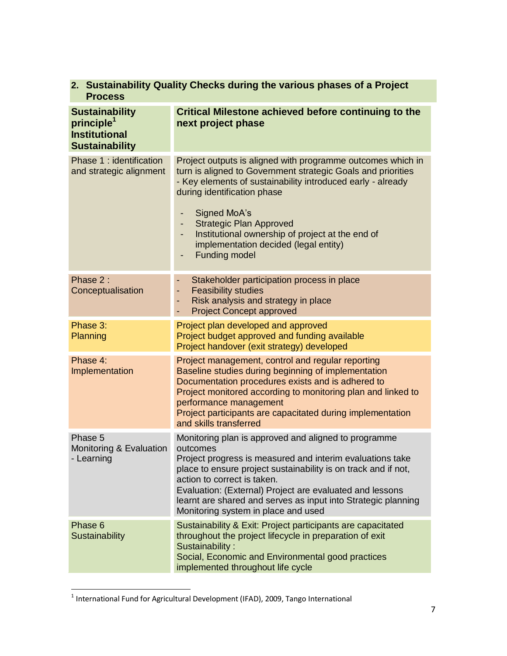| 2. Sustainability Quality Checks during the various phases of a Project<br><b>Process</b>        |                                                                                                                                                                                                                                                                                                                                                                                                            |  |
|--------------------------------------------------------------------------------------------------|------------------------------------------------------------------------------------------------------------------------------------------------------------------------------------------------------------------------------------------------------------------------------------------------------------------------------------------------------------------------------------------------------------|--|
| <b>Sustainability</b><br>principle <sup>1</sup><br><b>Institutional</b><br><b>Sustainability</b> | <b>Critical Milestone achieved before continuing to the</b><br>next project phase                                                                                                                                                                                                                                                                                                                          |  |
| Phase 1: identification<br>and strategic alignment                                               | Project outputs is aligned with programme outcomes which in<br>turn is aligned to Government strategic Goals and priorities<br>- Key elements of sustainability introduced early - already<br>during identification phase<br>Signed MoA's<br>٠<br><b>Strategic Plan Approved</b><br>Institutional ownership of project at the end of<br>٠<br>implementation decided (legal entity)<br><b>Funding model</b> |  |
| Phase 2:<br>Conceptualisation                                                                    | Stakeholder participation process in place<br><b>Feasibility studies</b><br>۰<br>Risk analysis and strategy in place<br>۰<br><b>Project Concept approved</b><br>۰                                                                                                                                                                                                                                          |  |
| Phase 3:<br>Planning                                                                             | Project plan developed and approved<br>Project budget approved and funding available<br>Project handover (exit strategy) developed                                                                                                                                                                                                                                                                         |  |
| Phase 4:<br>Implementation                                                                       | Project management, control and regular reporting<br>Baseline studies during beginning of implementation<br>Documentation procedures exists and is adhered to<br>Project monitored according to monitoring plan and linked to<br>performance management<br>Project participants are capacitated during implementation<br>and skills transferred                                                            |  |
| Phase 5<br>Monitoring & Evaluation<br>- Learning                                                 | Monitoring plan is approved and aligned to programme<br>outcomes<br>Project progress is measured and interim evaluations take<br>place to ensure project sustainability is on track and if not,<br>action to correct is taken.<br>Evaluation: (External) Project are evaluated and lessons<br>learnt are shared and serves as input into Strategic planning<br>Monitoring system in place and used         |  |
| Phase 6<br>Sustainability                                                                        | Sustainability & Exit: Project participants are capacitated<br>throughout the project lifecycle in preparation of exit<br>Sustainability:<br>Social, Economic and Environmental good practices<br>implemented throughout life cycle                                                                                                                                                                        |  |

**<sup>2.</sup> Sustainability Quality Checks during the various phases of a Project** 

 1 International Fund for Agricultural Development (IFAD), 2009, Tango International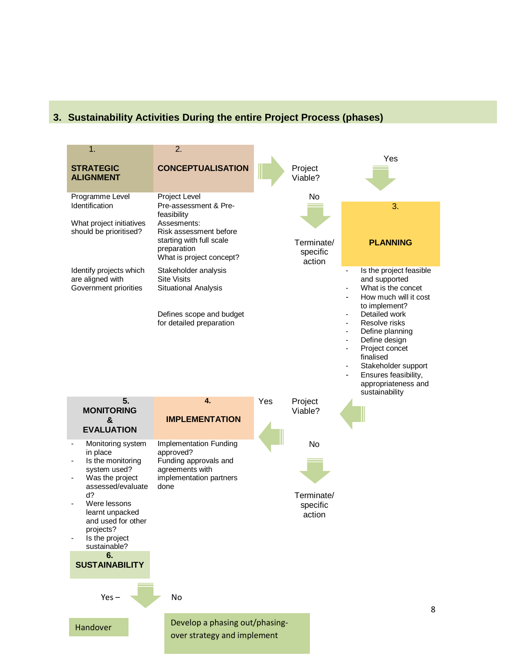### **3. Sustainability Activities During the entire Project Process (phases)**

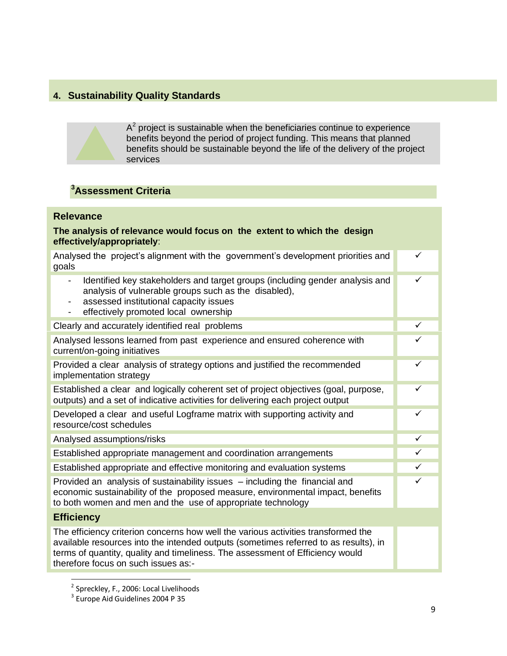## **4. Sustainability Quality Standards**



# **<sup>3</sup>Assessment Criteria**

#### **Relevance The analysis of relevance would focus on the extent to which the design effectively/appropriately**: Analysed the project's alignment with the government's development priorities and goals ✓ Identified key stakeholders and target groups (including gender analysis and analysis of vulnerable groups such as the disabled), assessed institutional capacity issues - effectively promoted local ownership  $\checkmark$ Clearly and accurately identified real problems Analysed lessons learned from past experience and ensured coherence with current/on-going initiatives  $\checkmark$ Provided a clear analysis of strategy options and justified the recommended implementation strategy ✓ Established a clear and logically coherent set of project objectives (goal, purpose, outputs) and a set of indicative activities for delivering each project output  $\checkmark$ Developed a clear and useful Logframe matrix with supporting activity and resource/cost schedules  $\checkmark$ Analysed assumptions/risks Established appropriate management and coordination arrangements Established appropriate and effective monitoring and evaluation systems **Exercise 2** Provided an analysis of sustainability issues – including the financial and economic sustainability of the proposed measure, environmental impact, benefits to both women and men and the use of appropriate technology ✓ **Efficiency** The efficiency criterion concerns how well the various activities transformed the available resources into the intended outputs (sometimes referred to as results), in terms of quantity, quality and timeliness. The assessment of Efficiency would therefore focus on such issues as:-

 $\overline{\phantom{a}}$ 

<sup>&</sup>lt;sup>2</sup> Spreckley, F., 2006: Local Livelihoods

<sup>&</sup>lt;sup>3</sup> Europe Aid Guidelines 2004 P 35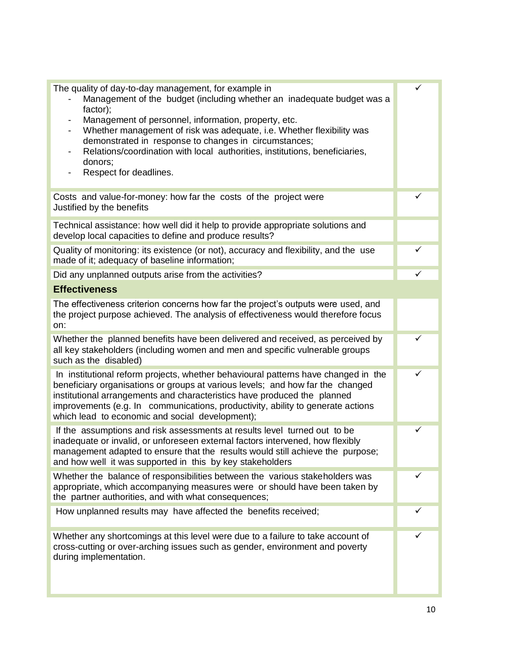| The quality of day-to-day management, for example in<br>Management of the budget (including whether an inadequate budget was a<br>factor);                                                                                                                                                                                                                                             | ✓ |
|----------------------------------------------------------------------------------------------------------------------------------------------------------------------------------------------------------------------------------------------------------------------------------------------------------------------------------------------------------------------------------------|---|
| Management of personnel, information, property, etc.<br>$\overline{\phantom{a}}$<br>Whether management of risk was adequate, i.e. Whether flexibility was<br>demonstrated in response to changes in circumstances;<br>Relations/coordination with local authorities, institutions, beneficiaries,<br>donors;<br>Respect for deadlines.                                                 |   |
|                                                                                                                                                                                                                                                                                                                                                                                        |   |
| Costs and value-for-money: how far the costs of the project were<br>Justified by the benefits                                                                                                                                                                                                                                                                                          | ✓ |
| Technical assistance: how well did it help to provide appropriate solutions and<br>develop local capacities to define and produce results?                                                                                                                                                                                                                                             |   |
| Quality of monitoring: its existence (or not), accuracy and flexibility, and the use<br>made of it; adequacy of baseline information;                                                                                                                                                                                                                                                  | ✓ |
| Did any unplanned outputs arise from the activities?                                                                                                                                                                                                                                                                                                                                   | ✓ |
| <b>Effectiveness</b>                                                                                                                                                                                                                                                                                                                                                                   |   |
| The effectiveness criterion concerns how far the project's outputs were used, and<br>the project purpose achieved. The analysis of effectiveness would therefore focus<br>on:                                                                                                                                                                                                          |   |
| Whether the planned benefits have been delivered and received, as perceived by<br>all key stakeholders (including women and men and specific vulnerable groups<br>such as the disabled)                                                                                                                                                                                                | ✓ |
| In institutional reform projects, whether behavioural patterns have changed in the<br>beneficiary organisations or groups at various levels; and how far the changed<br>institutional arrangements and characteristics have produced the planned<br>improvements (e.g. In communications, productivity, ability to generate actions<br>which lead to economic and social development); | ✓ |
| If the assumptions and risk assessments at results level turned out to be<br>inadequate or invalid, or unforeseen external factors intervened, how flexibly<br>management adapted to ensure that the results would still achieve the purpose;<br>and how well it was supported in this by key stakeholders                                                                             | ✓ |
| Whether the balance of responsibilities between the various stakeholders was<br>appropriate, which accompanying measures were or should have been taken by<br>the partner authorities, and with what consequences;                                                                                                                                                                     |   |
| How unplanned results may have affected the benefits received;                                                                                                                                                                                                                                                                                                                         |   |
| Whether any shortcomings at this level were due to a failure to take account of<br>cross-cutting or over-arching issues such as gender, environment and poverty<br>during implementation.                                                                                                                                                                                              |   |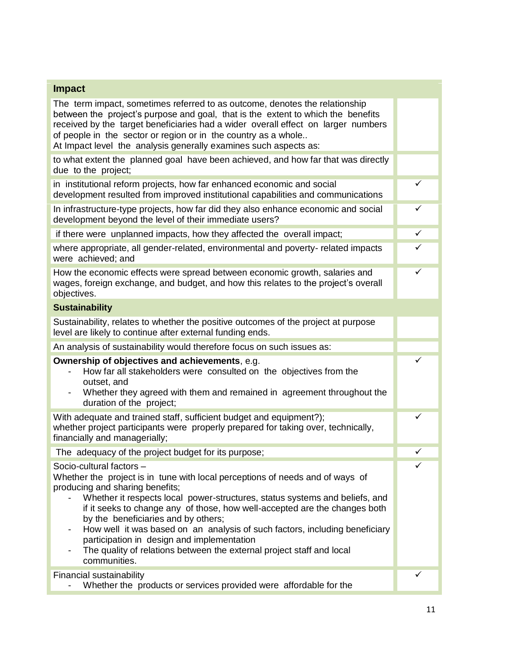| <b>Impact</b>                                                                                                                                                                                                                                                                                                                                                                                                                                                                                                                                                          |              |
|------------------------------------------------------------------------------------------------------------------------------------------------------------------------------------------------------------------------------------------------------------------------------------------------------------------------------------------------------------------------------------------------------------------------------------------------------------------------------------------------------------------------------------------------------------------------|--------------|
| The term impact, sometimes referred to as outcome, denotes the relationship<br>between the project's purpose and goal, that is the extent to which the benefits<br>received by the target beneficiaries had a wider overall effect on larger numbers<br>of people in the sector or region or in the country as a whole<br>At Impact level the analysis generally examines such aspects as:                                                                                                                                                                             |              |
| to what extent the planned goal have been achieved, and how far that was directly<br>due to the project;                                                                                                                                                                                                                                                                                                                                                                                                                                                               |              |
| in institutional reform projects, how far enhanced economic and social<br>development resulted from improved institutional capabilities and communications                                                                                                                                                                                                                                                                                                                                                                                                             | ✓            |
| In infrastructure-type projects, how far did they also enhance economic and social<br>development beyond the level of their immediate users?                                                                                                                                                                                                                                                                                                                                                                                                                           | $\checkmark$ |
| if there were unplanned impacts, how they affected the overall impact;                                                                                                                                                                                                                                                                                                                                                                                                                                                                                                 | $\checkmark$ |
| where appropriate, all gender-related, environmental and poverty- related impacts<br>were achieved; and                                                                                                                                                                                                                                                                                                                                                                                                                                                                | ✓            |
| How the economic effects were spread between economic growth, salaries and<br>wages, foreign exchange, and budget, and how this relates to the project's overall<br>objectives.                                                                                                                                                                                                                                                                                                                                                                                        | ✓            |
| <b>Sustainability</b>                                                                                                                                                                                                                                                                                                                                                                                                                                                                                                                                                  |              |
| Sustainability, relates to whether the positive outcomes of the project at purpose<br>level are likely to continue after external funding ends.                                                                                                                                                                                                                                                                                                                                                                                                                        |              |
| An analysis of sustainability would therefore focus on such issues as:                                                                                                                                                                                                                                                                                                                                                                                                                                                                                                 |              |
| Ownership of objectives and achievements, e.g.<br>How far all stakeholders were consulted on the objectives from the<br>outset, and<br>Whether they agreed with them and remained in agreement throughout the<br>duration of the project;                                                                                                                                                                                                                                                                                                                              | ✓            |
| With adequate and trained staff, sufficient budget and equipment?);<br>whether project participants were properly prepared for taking over, technically,<br>financially and managerially;                                                                                                                                                                                                                                                                                                                                                                              | ✓            |
| The adequacy of the project budget for its purpose;                                                                                                                                                                                                                                                                                                                                                                                                                                                                                                                    | ✓            |
| Socio-cultural factors -<br>Whether the project is in tune with local perceptions of needs and of ways of<br>producing and sharing benefits;<br>Whether it respects local power-structures, status systems and beliefs, and<br>if it seeks to change any of those, how well-accepted are the changes both<br>by the beneficiaries and by others;<br>How well it was based on an analysis of such factors, including beneficiary<br>participation in design and implementation<br>The quality of relations between the external project staff and local<br>communities. | ✓            |
| Financial sustainability<br>Whether the products or services provided were affordable for the                                                                                                                                                                                                                                                                                                                                                                                                                                                                          |              |